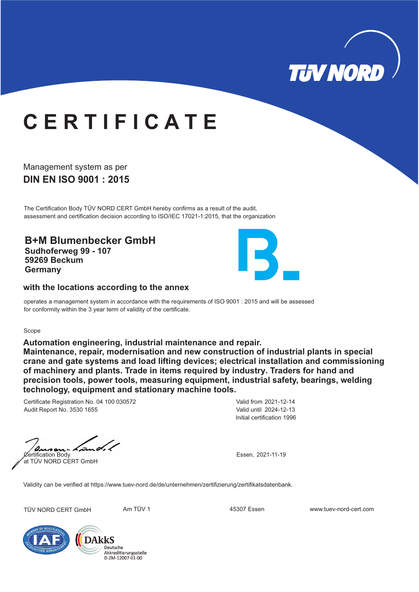

# **C E R T I F I C A T E**

## **DIN EN ISO 9001 : 2015** Management system as per

The Certification Body TÜV NORD CERT GmbH hereby confirms as a result of the audit, assessment and certification decision according to ISO/IEC 17021-1:2015, that the organization

**B+M Blumenbecker GmbH Sudhoferweg 99 - 107 59269 Beckum Germany**



### **with the locations according to the annex**

operates a management system in accordance with the requirements of ISO 9001 : 2015 and will be assessed for conformity within the 3 year term of validity of the certificate.

#### Scope

**Automation engineering, industrial maintenance and repair.**

**Maintenance, repair, modernisation and new construction of industrial plants in special crane and gate systems and load lifting devices; electrical installation and commissioning of machinery and plants. Trade in items required by industry. Traders for hand and precision tools, power tools, measuring equipment, industrial safety, bearings, welding technology, equipment and stationary machine tools.**

Certificate Registration No. 04 100 030572 Audit Report No. 3530 1655

Initial certification 1996 Valid from 2021-12-14 Valid until 2024-12-13

s a Certification Body Essen, 2021-11-19 at TÜV NORD CERT GmbH

Validity can be verified at https://www.tuev-nord.de/de/unternehmen/zertifizierung/zertifikatsdatenbank.

TÜV NORD CERT GmbH Am TÜV 1 45307 Essen www.tuev-nord-cert.com



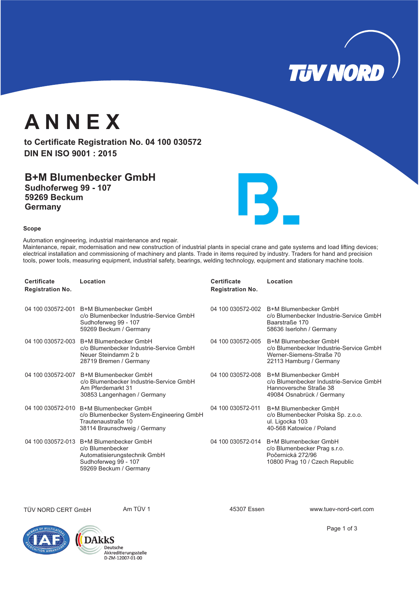**TUV NORD** 

# **A N N E X**

to Certificate Registration No. 04 100 030572 **DIN EN ISO 9001 : 2015**

**B+M Blumenbecker GmbH Sudhoferweg 99 - 107 59269 Beckum Germany**



#### **Scope**

Automation engineering, industrial maintenance and repair. Maintenance, repair, modernisation and new construction of industrial plants in special crane and gate systems and load lifting devices; electrical installation and commissioning of machinery and plants. Trade in items required by industry. Traders for hand and precision tools, power tools, measuring equipment, industrial safety, bearings, welding technology, equipment and stationary machine tools.

| Certificate<br><b>Registration No.</b> | Location                                                                                                                                  | Certificate<br><b>Registration No.</b> | Location                                                                                                                         |
|----------------------------------------|-------------------------------------------------------------------------------------------------------------------------------------------|----------------------------------------|----------------------------------------------------------------------------------------------------------------------------------|
|                                        | 04 100 030572-001 B+M Blumenbecker GmbH<br>c/o Blumenbecker Industrie-Service GmbH<br>Sudhoferweg 99 - 107<br>59269 Beckum / Germany      |                                        | 04 100 030572-002 B+M Blumenbecker GmbH<br>c/o Blumenbecker Industrie-Service GmbH<br>Baarstraße 170<br>58636 Iserlohn / Germany |
|                                        | 04 100 030572-003 B+M Blumenbecker GmbH<br>c/o Blumenbecker Industrie-Service GmbH<br>Neuer Steindamm 2 b<br>28719 Bremen / Germany       | 04 100 030572-005                      | B+M Blumenbecker GmbH<br>c/o Blumenbecker Industrie-Service GmbH<br>Werner-Siemens-Straße 70<br>22113 Hamburg / Germany          |
| 04 100 030572-007                      | B+M Blumenbecker GmbH<br>c/o Blumenbecker Industrie-Service GmbH<br>Am Pferdemarkt 31<br>30853 Langenhagen / Germany                      | 04 100 030572-008                      | B+M Blumenbecker GmbH<br>c/o Blumenbecker Industrie-Service GmbH<br>Hannoversche Straße 38<br>49084 Osnabrück / Germany          |
|                                        | 04 100 030572-010 B+M Blumenbecker GmbH<br>c/o Blumenbecker System-Engineering GmbH<br>Trautenaustraße 10<br>38114 Braunschweig / Germany | 04 100 030572-011                      | B+M Blumenbecker GmbH<br>c/o Blumenbecker Polska Sp. z.o.o.<br>ul. Ligocka 103<br>40-568 Katowice / Poland                       |
| 04 100 030572-013                      | B+M Blumenbecker GmbH<br>c/o Blumenbecker<br>Automatisierungstechnik GmbH<br>Sudhoferweg 99 - 107<br>59269 Beckum / Germany               |                                        | 04 100 030572-014 B+M Blumenbecker GmbH<br>c/o Blumenbecker Prag s.r.o.<br>Počernická 272/96<br>10800 Prag 10 / Czech Republic   |

TÜV NORD CERT GmbH Am TÜV 1 45307 Essen www.tuev-nord-cert.com





Page 1 of 3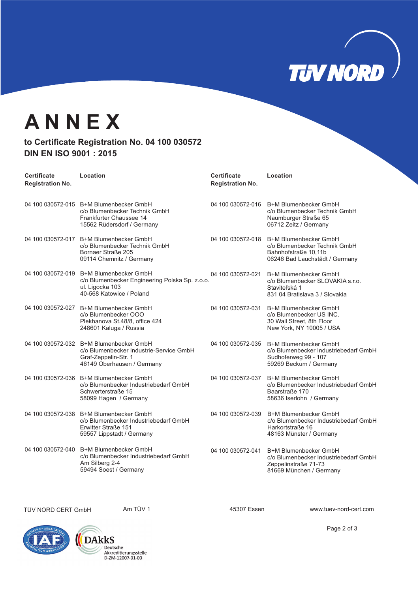

## **A N N E X**

### to Certificate Registration No. 04 100 030572 **DIN EN ISO 9001 : 2015**

| <b>Certificate</b><br><b>Registration No.</b> | Location                                                                                                                                 | <b>Certificate</b><br><b>Registration No.</b> | Location                                                                                                          |
|-----------------------------------------------|------------------------------------------------------------------------------------------------------------------------------------------|-----------------------------------------------|-------------------------------------------------------------------------------------------------------------------|
|                                               | 04 100 030572-015 B+M Blumenbecker GmbH<br>c/o Blumenbecker Technik GmbH<br>Frankfurter Chaussee 14<br>15562 Rüdersdorf / Germany        | 04 100 030572-016                             | B+M Blumenbecker GmbH<br>c/o Blumenbecker Technik GmbH<br>Naumburger Straße 65<br>06712 Zeitz / Germany           |
| 04 100 030572-017                             | B+M Blumenbecker GmbH<br>c/o Blumenbecker Technik GmbH<br>Bornaer Straße 205<br>09114 Chemnitz / Germany                                 | 04 100 030572-018                             | B+M Blumenbecker GmbH<br>c/o Blumenbecker Technik GmbH<br>Bahnhofstraße 10,11b<br>06246 Bad Lauchstädt / Germany  |
|                                               | 04 100 030572-019 B+M Blumenbecker GmbH<br>c/o Blumenbecker Engineering Polska Sp. z.o.o.<br>ul. Ligocka 103<br>40-568 Katowice / Poland | 04 100 030572-021                             | B+M Blumenbecker GmbH<br>c/o Blumenbecker SLOVAKIA s.r.o.<br>Staviteľská 1<br>831 04 Bratislava 3 / Slovakia      |
| 04 100 030572-027                             | B+M Blumenbecker GmbH<br>c/o Blumenbecker OOO<br>Plekhanova St.48/8, office 424<br>248601 Kaluga / Russia                                | 04 100 030572-031                             | B+M Blumenbecker GmbH<br>c/o Blumenbecker US INC.<br>30 Wall Street, 8th Floor<br>New York, NY 10005 / USA        |
|                                               | 04 100 030572-032 B+M Blumenbecker GmbH<br>c/o Blumenbecker Industrie-Service GmbH<br>Graf-Zeppelin-Str. 1<br>46149 Oberhausen / Germany | 04 100 030572-035                             | B+M Blumenbecker GmbH<br>c/o Blumenbecker Industriebedarf GmbH<br>Sudhoferweg 99 - 107<br>59269 Beckum / Germany  |
| 04 100 030572-036                             | B+M Blumenbecker GmbH<br>c/o Blumenbecker Industriebedarf GmbH<br>Schwerterstraße 15<br>58099 Hagen / Germany                            | 04 100 030572-037                             | B+M Blumenbecker GmbH<br>c/o Blumenbecker Industriebedarf GmbH<br>Baarstraße 170<br>58636 Iserlohn / Germany      |
|                                               | 04 100 030572-038 B+M Blumenbecker GmbH<br>c/o Blumenbecker Industriebedarf GmbH<br>Erwitter Straße 151<br>59557 Lippstadt / Germany     | 04 100 030572-039                             | B+M Blumenbecker GmbH<br>c/o Blumenbecker Industriebedarf GmbH<br>Harkortstraße 16<br>48163 Münster / Germany     |
| 04 100 030572-040                             | B+M Blumenbecker GmbH<br>c/o Blumenbecker Industriebedarf GmbH<br>Am Silberg 2-4<br>59494 Soest / Germany                                | 04 100 030572-041                             | B+M Blumenbecker GmbH<br>c/o Blumenbecker Industriebedarf GmbH<br>Zeppelinstraße 71-73<br>81669 München / Germany |

TÜV NORD CERT GmbH Am TÜV 1 Am TÜV 1 45307 Essen www.tuev-nord-cert.com





Page 2 of 3